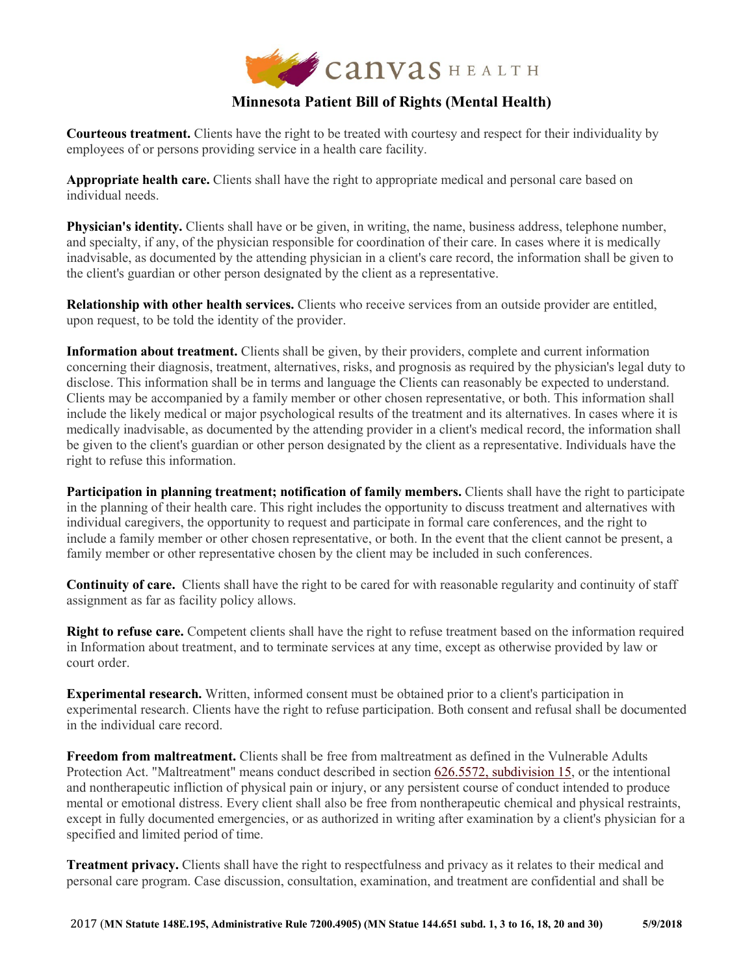

## **Minnesota Patient Bill of Rights (Mental Health)**

**Courteous treatment.** Clients have the right to be treated with courtesy and respect for their individuality by employees of or persons providing service in a health care facility.

**Appropriate health care.** Clients shall have the right to appropriate medical and personal care based on individual needs.

**Physician's identity.** Clients shall have or be given, in writing, the name, business address, telephone number, and specialty, if any, of the physician responsible for coordination of their care. In cases where it is medically inadvisable, as documented by the attending physician in a client's care record, the information shall be given to the client's guardian or other person designated by the client as a representative.

**Relationship with other health services.** Clients who receive services from an outside provider are entitled, upon request, to be told the identity of the provider.

**Information about treatment.** Clients shall be given, by their providers, complete and current information concerning their diagnosis, treatment, alternatives, risks, and prognosis as required by the physician's legal duty to disclose. This information shall be in terms and language the Clients can reasonably be expected to understand. Clients may be accompanied by a family member or other chosen representative, or both. This information shall include the likely medical or major psychological results of the treatment and its alternatives. In cases where it is medically inadvisable, as documented by the attending provider in a client's medical record, the information shall be given to the client's guardian or other person designated by the client as a representative. Individuals have the right to refuse this information.

**Participation in planning treatment; notification of family members.** Clients shall have the right to participate in the planning of their health care. This right includes the opportunity to discuss treatment and alternatives with individual caregivers, the opportunity to request and participate in formal care conferences, and the right to include a family member or other chosen representative, or both. In the event that the client cannot be present, a family member or other representative chosen by the client may be included in such conferences.

**Continuity of care.** Clients shall have the right to be cared for with reasonable regularity and continuity of staff assignment as far as facility policy allows.

**Right to refuse care.** Competent clients shall have the right to refuse treatment based on the information required in Information about treatment, and to terminate services at any time, except as otherwise provided by law or court order.

**Experimental research.** Written, informed consent must be obtained prior to a client's participation in experimental research. Clients have the right to refuse participation. Both consent and refusal shall be documented in the individual care record.

**Freedom from maltreatment.** Clients shall be free from maltreatment as defined in the Vulnerable Adults Protection Act. "Maltreatment" means conduct described in section [626.5572, subdivision 15,](https://www.revisor.mn.gov/statutes/?id=626.5572#stat.626.5572.15) or the intentional and nontherapeutic infliction of physical pain or injury, or any persistent course of conduct intended to produce mental or emotional distress. Every client shall also be free from nontherapeutic chemical and physical restraints, except in fully documented emergencies, or as authorized in writing after examination by a client's physician for a specified and limited period of time.

**Treatment privacy.** Clients shall have the right to respectfulness and privacy as it relates to their medical and personal care program. Case discussion, consultation, examination, and treatment are confidential and shall be